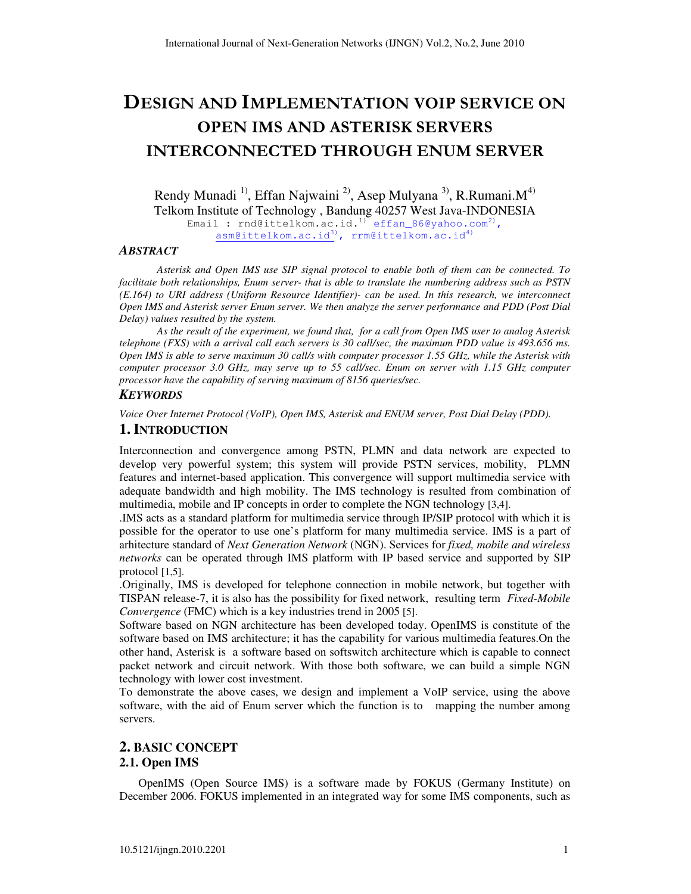# DESIGN AND IMPLEMENTATION VOIP SERVICE ON OPEN IMS AND ASTERISK SERVERS INTERCONNECTED THROUGH ENUM SERVER

Rendy Munadi<sup>1)</sup>, Effan Najwaini<sup>2)</sup>, Asep Mulyana<sup>3)</sup>, R.Rumani.M<sup>4)</sup> Telkom Institute of Technology , Bandung 40257 West Java-INDONESIA Email : rnd@ittelkom.ac.id.<sup>1)</sup> effan\_86@yahoo.com<sup>2)</sup>, asm@ittelkom.ac.id3), rrm@ittelkom.ac.id4)

#### *ABSTRACT*

*Asterisk and Open IMS use SIP signal protocol to enable both of them can be connected. To facilitate both relationships, Enum server- that is able to translate the numbering address such as PSTN (E.164) to URI address (Uniform Resource Identifier)- can be used. In this research, we interconnect Open IMS and Asterisk server Enum server. We then analyze the server performance and PDD (Post Dial Delay) values resulted by the system.* 

*As the result of the experiment, we found that, for a call from Open IMS user to analog Asterisk telephone (FXS) with a arrival call each servers is 30 call/sec, the maximum PDD value is 493.656 ms. Open IMS is able to serve maximum 30 call/s with computer processor 1.55 GHz, while the Asterisk with computer processor 3.0 GHz, may serve up to 55 call/sec. Enum on server with 1.15 GHz computer processor have the capability of serving maximum of 8156 queries/sec.* 

#### *KEYWORDS*

*Voice Over Internet Protocol (VoIP), Open IMS, Asterisk and ENUM server, Post Dial Delay (PDD).* 

#### **1. INTRODUCTION**

Interconnection and convergence among PSTN, PLMN and data network are expected to develop very powerful system; this system will provide PSTN services, mobility, PLMN features and internet-based application. This convergence will support multimedia service with adequate bandwidth and high mobility. The IMS technology is resulted from combination of multimedia, mobile and IP concepts in order to complete the NGN technology [3,4].

.IMS acts as a standard platform for multimedia service through IP/SIP protocol with which it is possible for the operator to use one's platform for many multimedia service. IMS is a part of arhitecture standard of *Next Generation Network* (NGN). Services for *fixed, mobile and wireless networks* can be operated through IMS platform with IP based service and supported by SIP protocol [1,5].

.Originally, IMS is developed for telephone connection in mobile network, but together with TISPAN release-7, it is also has the possibility for fixed network, resulting term *Fixed-Mobile Convergence* (FMC) which is a key industries trend in 2005 [5].

Software based on NGN architecture has been developed today. OpenIMS is constitute of the software based on IMS architecture; it has the capability for various multimedia features.On the other hand, Asterisk is a software based on softswitch architecture which is capable to connect packet network and circuit network. With those both software, we can build a simple NGN technology with lower cost investment.

To demonstrate the above cases, we design and implement a VoIP service, using the above software, with the aid of Enum server which the function is to mapping the number among servers.

## **2. BASIC CONCEPT 2.1. Open IMS**

OpenIMS (Open Source IMS) is a software made by FOKUS (Germany Institute) on December 2006. FOKUS implemented in an integrated way for some IMS components, such as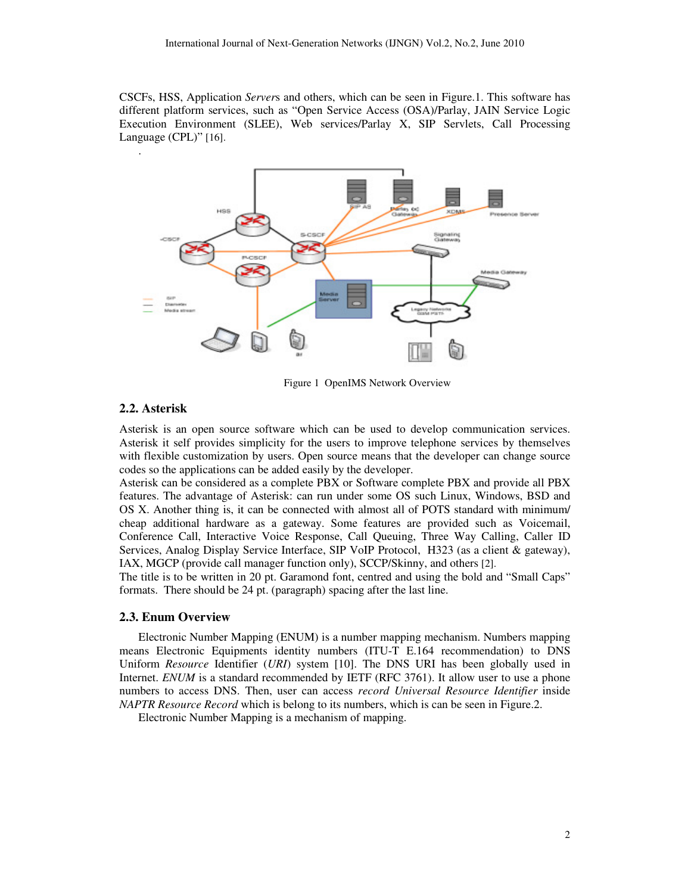CSCFs, HSS, Application *Server*s and others, which can be seen in Figure.1. This software has different platform services, such as "Open Service Access (OSA)/Parlay, JAIN Service Logic Execution Environment (SLEE), Web services/Parlay X, SIP Servlets, Call Processing Language (CPL)" [16].



Figure 1 OpenIMS Network Overview

#### **2.2. Asterisk**

Asterisk is an open source software which can be used to develop communication services. Asterisk it self provides simplicity for the users to improve telephone services by themselves with flexible customization by users. Open source means that the developer can change source codes so the applications can be added easily by the developer.

Asterisk can be considered as a complete PBX or Software complete PBX and provide all PBX features. The advantage of Asterisk: can run under some OS such Linux, Windows, BSD and OS X. Another thing is, it can be connected with almost all of POTS standard with minimum/ cheap additional hardware as a gateway. Some features are provided such as Voicemail, Conference Call, Interactive Voice Response, Call Queuing, Three Way Calling, Caller ID Services, Analog Display Service Interface, SIP VoIP Protocol, H323 (as a client & gateway), IAX, MGCP (provide call manager function only), SCCP/Skinny, and others [2].

The title is to be written in 20 pt. Garamond font, centred and using the bold and "Small Caps" formats. There should be 24 pt. (paragraph) spacing after the last line.

#### **2.3. Enum Overview**

Electronic Number Mapping (ENUM) is a number mapping mechanism. Numbers mapping means Electronic Equipments identity numbers (ITU-T E.164 recommendation) to DNS Uniform *Resource* Identifier (*URI*) system [10]. The DNS URI has been globally used in Internet. *ENUM* is a standard recommended by IETF (RFC 3761). It allow user to use a phone numbers to access DNS. Then, user can access *record Universal Resource Identifier* inside *NAPTR Resource Record* which is belong to its numbers, which is can be seen in Figure.2.

Electronic Number Mapping is a mechanism of mapping.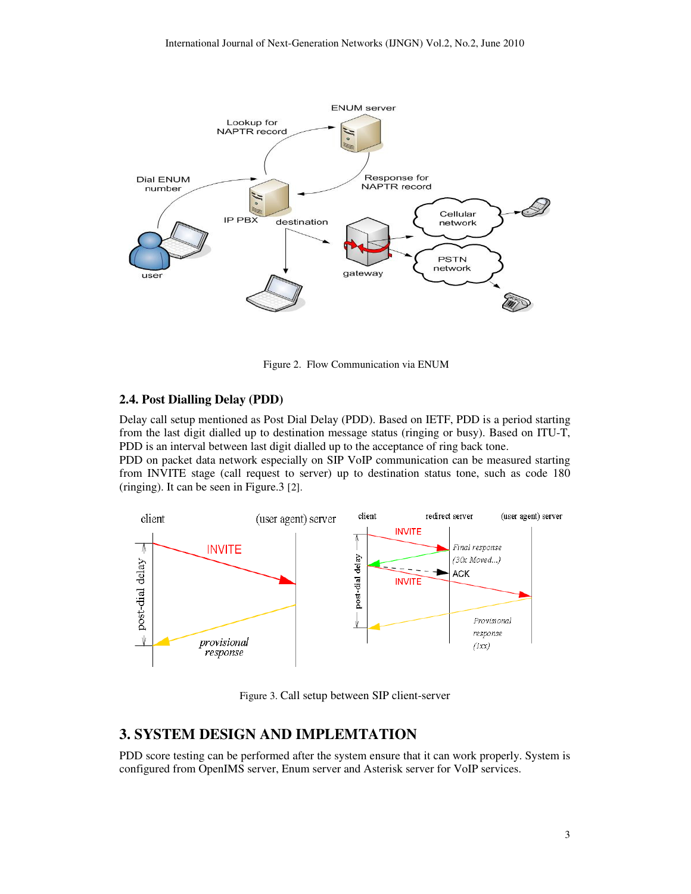

Figure 2.Flow Communication via ENUM

#### **2.4. Post Dialling Delay (PDD)**

Delay call setup mentioned as Post Dial Delay (PDD). Based on IETF, PDD is a period starting from the last digit dialled up to destination message status (ringing or busy). Based on ITU-T, PDD is an interval between last digit dialled up to the acceptance of ring back tone.

PDD on packet data network especially on SIP VoIP communication can be measured starting from INVITE stage (call request to server) up to destination status tone, such as code 180 (ringing). It can be seen in Figure.3 [2].



Figure 3. Call setup between SIP client-server

# **3. SYSTEM DESIGN AND IMPLEMTATION**

PDD score testing can be performed after the system ensure that it can work properly. System is configured from OpenIMS server, Enum server and Asterisk server for VoIP services.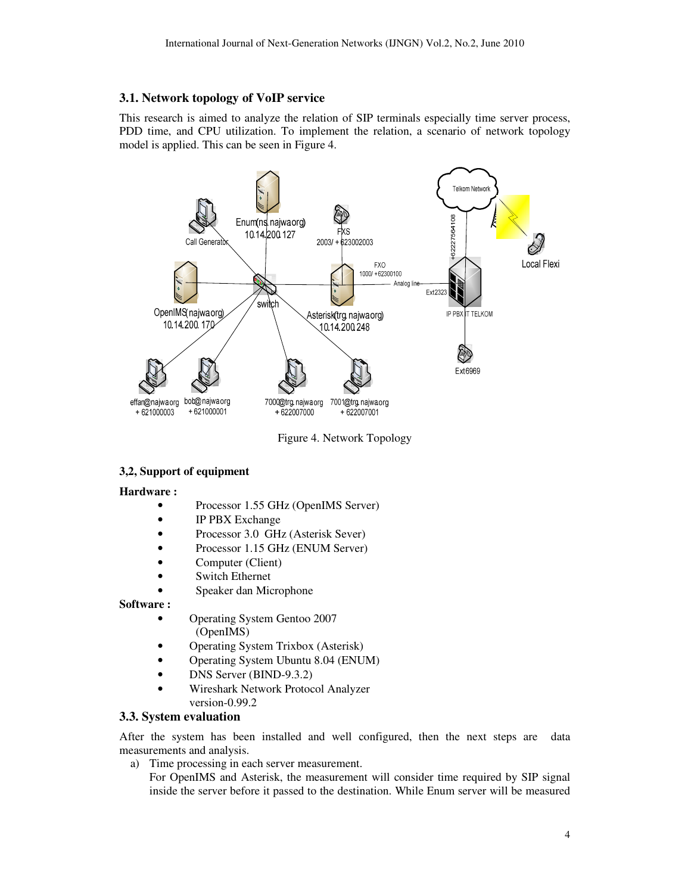#### **3.1. Network topology of VoIP service**

This research is aimed to analyze the relation of SIP terminals especially time server process, PDD time, and CPU utilization. To implement the relation, a scenario of network topology model is applied. This can be seen in Figure 4.



Figure 4. Network Topology

## **3,2, Support of equipment**

#### **Hardware :**

- Processor 1.55 GHz (OpenIMS Server)
- IP PBX Exchange
- Processor 3.0 GHz (Asterisk Sever)
- Processor 1.15 GHz (ENUM Server)
- Computer (Client)
- Switch Ethernet
- Speaker dan Microphone

#### **Software :**

- Operating System Gentoo 2007 (OpenIMS)
- Operating System Trixbox (Asterisk)
- Operating System Ubuntu 8.04 (ENUM)
- DNS Server (BIND-9.3.2)
- Wireshark Network Protocol Analyzer version-0.99.2

#### **3.3. System evaluation**

After the system has been installed and well configured, then the next steps are data measurements and analysis.

a) Time processing in each server measurement.

For OpenIMS and Asterisk, the measurement will consider time required by SIP signal inside the server before it passed to the destination. While Enum server will be measured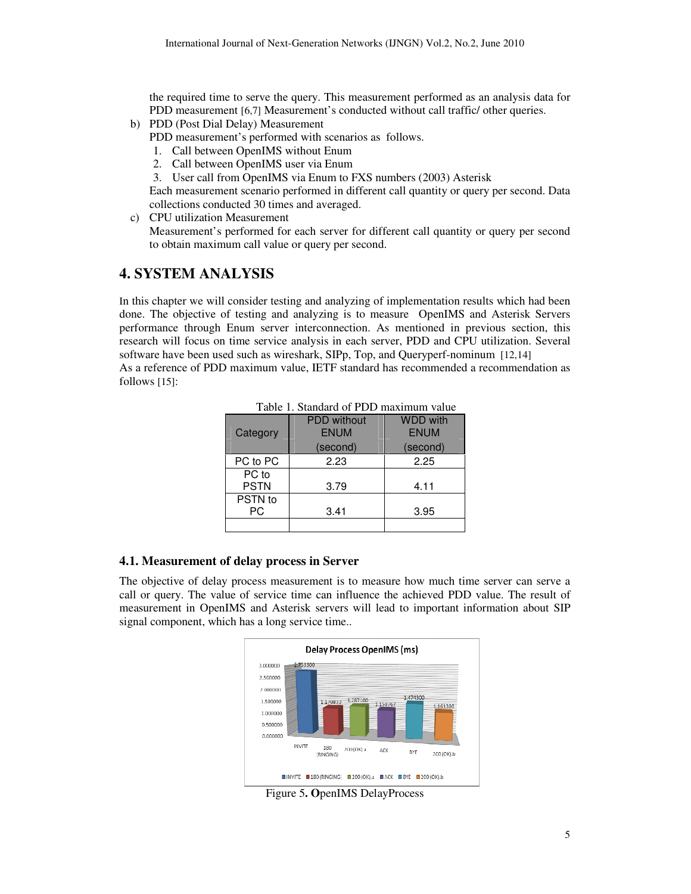the required time to serve the query. This measurement performed as an analysis data for PDD measurement [6,7] Measurement's conducted without call traffic/ other queries.

- b) PDD (Post Dial Delay) Measurement PDD measurement's performed with scenarios as follows.
	- 1. Call between OpenIMS without Enum
	- 2. Call between OpenIMS user via Enum
	- 3. User call from OpenIMS via Enum to FXS numbers (2003) Asterisk

Each measurement scenario performed in different call quantity or query per second. Data collections conducted 30 times and averaged.

c) CPU utilization Measurement

Measurement's performed for each server for different call quantity or query per second to obtain maximum call value or query per second.

## **4. SYSTEM ANALYSIS**

In this chapter we will consider testing and analyzing of implementation results which had been done. The objective of testing and analyzing is to measure OpenIMS and Asterisk Servers performance through Enum server interconnection. As mentioned in previous section, this research will focus on time service analysis in each server, PDD and CPU utilization. Several software have been used such as wireshark, SIPp, Top, and Queryperf-nominum [12,14]

As a reference of PDD maximum value, IETF standard has recommended a recommendation as follows [15]:

| Category             | <b>PDD</b> without<br><b>ENUM</b> | <b>WDD with</b><br><b>ENUM</b> |
|----------------------|-----------------------------------|--------------------------------|
|                      | (second)                          | (second)                       |
| PC to PC             | 2.23                              | 2.25                           |
| PC to<br><b>PSTN</b> | 3.79                              | 4.11                           |
| PSTN to<br>РC        | 3.41                              | 3.95                           |
|                      |                                   |                                |

Table 1. Standard of PDD maximum value

#### **4.1. Measurement of delay process in Server**

The objective of delay process measurement is to measure how much time server can serve a call or query. The value of service time can influence the achieved PDD value. The result of measurement in OpenIMS and Asterisk servers will lead to important information about SIP signal component, which has a long service time..



Figure 5**. O**penIMS DelayProcess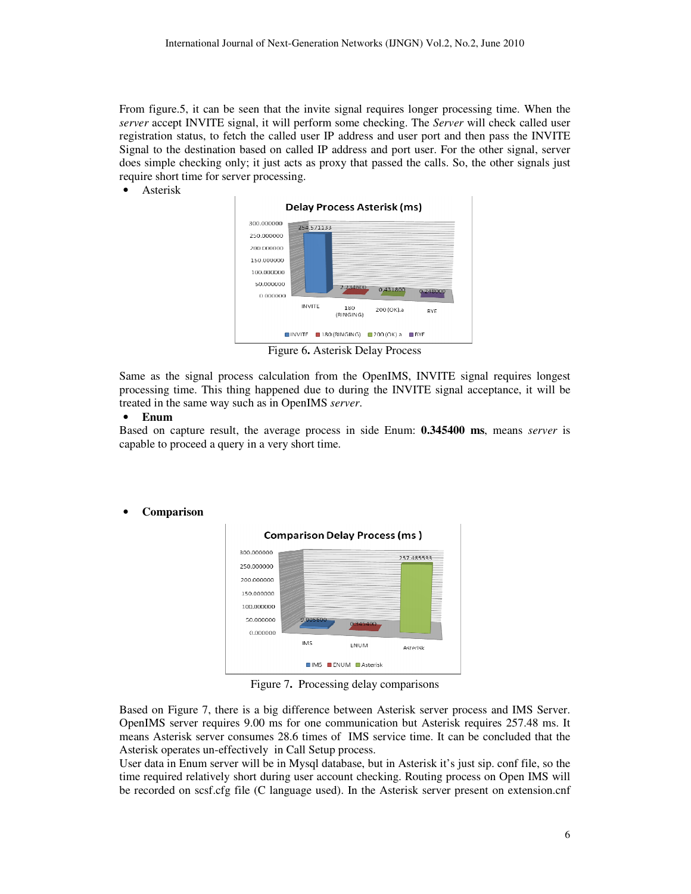From figure.5, it can be seen that the invite signal requires longer processing time. When the *server* accept INVITE signal, it will perform some checking. The *Server* will check called user registration status, to fetch the called user IP address and user port and then pass the INVITE Signal to the destination based on called IP address and port user. For the other signal, server does simple checking only; it just acts as proxy that passed the calls. So, the other signals just require short time for server processing.

• Asterisk



Figure 6**.** Asterisk Delay Process

Same as the signal process calculation from the OpenIMS, INVITE signal requires longest processing time. This thing happened due to during the INVITE signal acceptance, it will be treated in the same way such as in OpenIMS *server*.

#### • **Enum**

Based on capture result, the average process in side Enum: **0.345400 ms**, means *server* is capable to proceed a query in a very short time.

> **Comparison Delay Process (ms)** 300.000000 257.485533 250.000000 200.000000 150.000000 100.000000 50.000000 0.000000 **IMS ENUM** Asterisk **IMS ENUM Asterisk**

• **Comparison**

Figure 7**.** Processing delay comparisons

Based on Figure 7, there is a big difference between Asterisk server process and IMS Server. OpenIMS server requires 9.00 ms for one communication but Asterisk requires 257.48 ms. It means Asterisk server consumes 28.6 times of IMS service time. It can be concluded that the Asterisk operates un-effectively in Call Setup process.

User data in Enum server will be in Mysql database, but in Asterisk it's just sip. conf file, so the time required relatively short during user account checking. Routing process on Open IMS will be recorded on scsf.cfg file (C language used). In the Asterisk server present on extension.cnf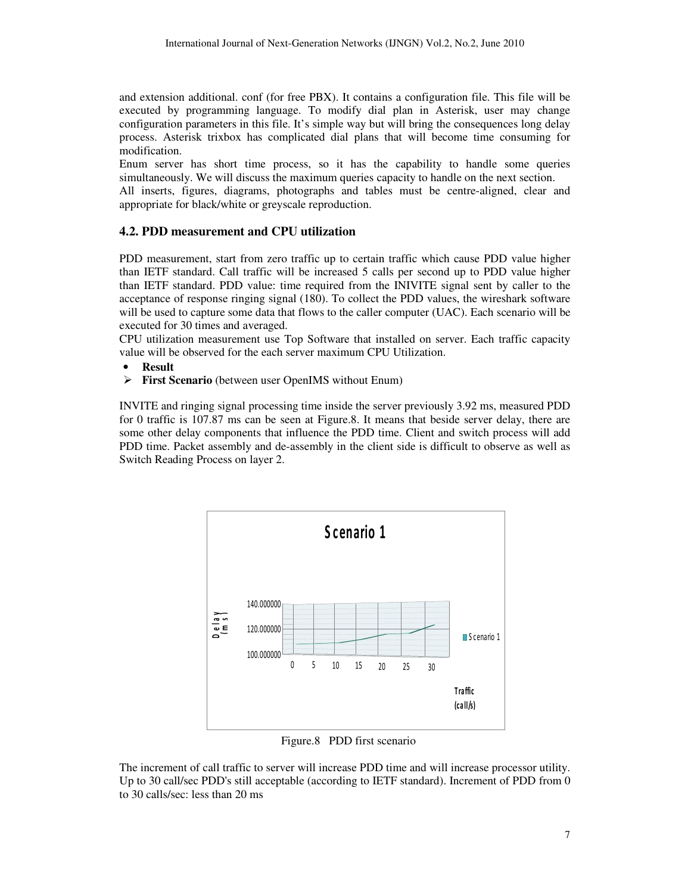and extension additional. conf (for free PBX). It contains a configuration file. This file will be executed by programming language. To modify dial plan in Asterisk, user may change configuration parameters in this file. It's simple way but will bring the consequences long delay process. Asterisk trixbox has complicated dial plans that will become time consuming for modification.

Enum server has short time process, so it has the capability to handle some queries simultaneously. We will discuss the maximum queries capacity to handle on the next section.

All inserts, figures, diagrams, photographs and tables must be centre-aligned, clear and appropriate for black/white or greyscale reproduction.

#### **4.2. PDD measurement and CPU utilization**

PDD measurement, start from zero traffic up to certain traffic which cause PDD value higher than IETF standard. Call traffic will be increased 5 calls per second up to PDD value higher than IETF standard. PDD value: time required from the INIVITE signal sent by caller to the acceptance of response ringing signal (180). To collect the PDD values, the wireshark software will be used to capture some data that flows to the caller computer (UAC). Each scenario will be executed for 30 times and averaged.

CPU utilization measurement use Top Software that installed on server. Each traffic capacity value will be observed for the each server maximum CPU Utilization.

- **Result**
- **First Scenario** (between user OpenIMS without Enum)

INVITE and ringing signal processing time inside the server previously 3.92 ms, measured PDD for 0 traffic is 107.87 ms can be seen at Figure.8. It means that beside server delay, there are some other delay components that influence the PDD time. Client and switch process will add PDD time. Packet assembly and de-assembly in the client side is difficult to observe as well as Switch Reading Process on layer 2.



Figure.8PDD first scenario

The increment of call traffic to server will increase PDD time and will increase processor utility. Up to 30 call/sec PDD's still acceptable (according to IETF standard). Increment of PDD from 0 to 30 calls/sec: less than 20 ms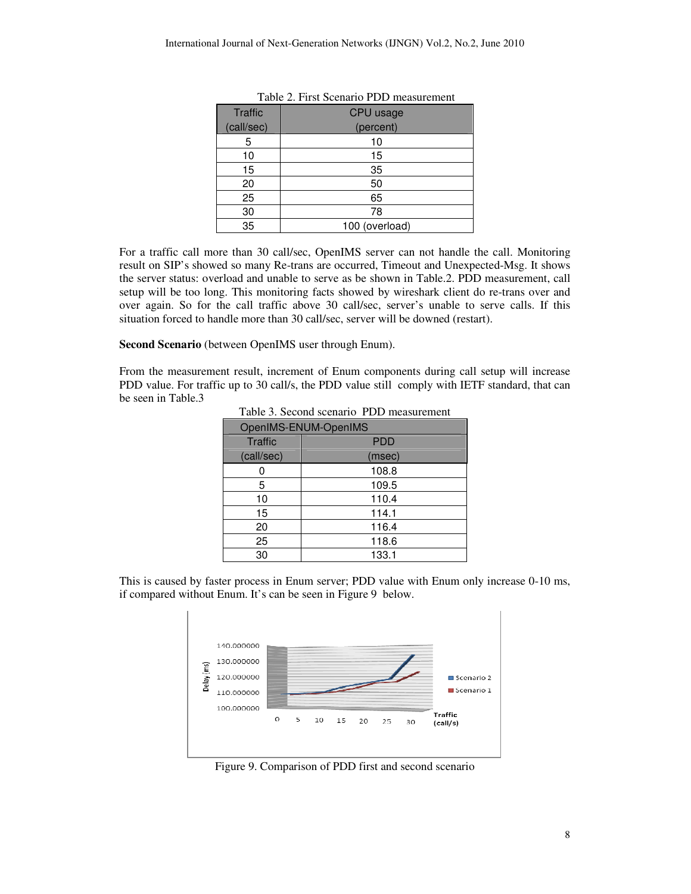| <b>Traffic</b> | CPU usage      |
|----------------|----------------|
| (call/sec)     | (percent)      |
| 5              | 10             |
| 10             | 15             |
| 15             | 35             |
| 20             | 50             |
| 25             | 65             |
| 30             | 78             |
| 35             | 100 (overload) |

| Table 2. First Scenario PDD measurement |  |
|-----------------------------------------|--|
|-----------------------------------------|--|

For a traffic call more than 30 call/sec, OpenIMS server can not handle the call. Monitoring result on SIP's showed so many Re-trans are occurred, Timeout and Unexpected-Msg. It shows the server status: overload and unable to serve as be shown in Table.2. PDD measurement, call setup will be too long. This monitoring facts showed by wireshark client do re-trans over and over again. So for the call traffic above 30 call/sec, server's unable to serve calls. If this situation forced to handle more than 30 call/sec, server will be downed (restart).

**Second Scenario** (between OpenIMS user through Enum).

From the measurement result, increment of Enum components during call setup will increase PDD value. For traffic up to 30 call/s, the PDD value still comply with IETF standard, that can be seen in Table.3

| табіс э. эссена зеснано т ДД нісазатенісні |            |
|--------------------------------------------|------------|
| OpenIMS-ENUM-OpenIMS                       |            |
| Traffic                                    | <b>PDD</b> |
| (call/sec)                                 | (msec)     |
|                                            | 108.8      |
| 5                                          | 109.5      |
| 10                                         | 110.4      |
| 15                                         | 114.1      |
| 20                                         | 116.4      |
| 25                                         | 118.6      |
| 30                                         | 133.1      |

Table 3. Second scenarioPDD measurement

This is caused by faster process in Enum server; PDD value with Enum only increase 0-10 ms, if compared without Enum. It's can be seen in Figure 9 below.



Figure 9. Comparison of PDD first and second scenario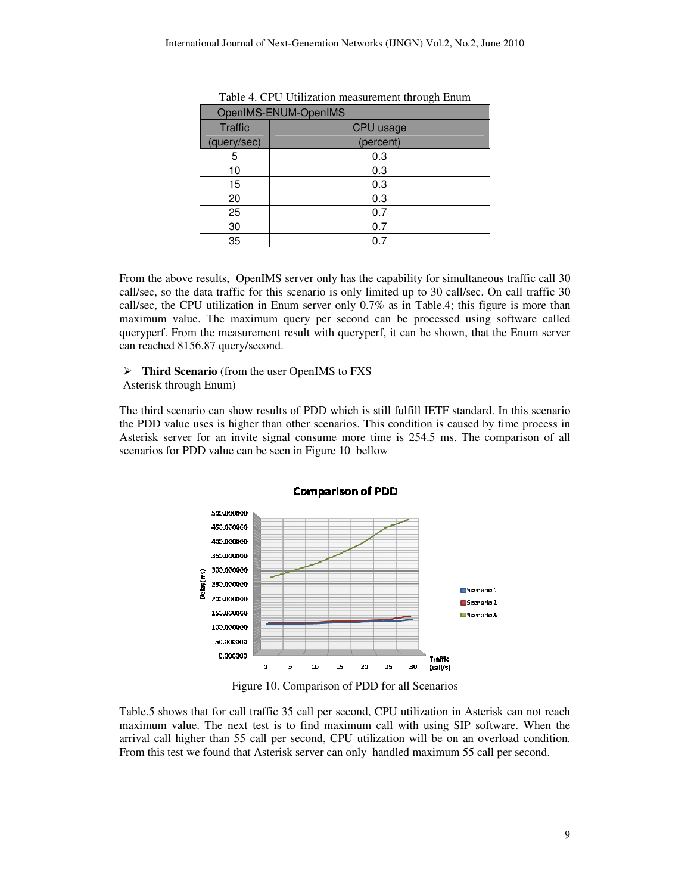| OpenIMS-ENUM-OpenIMS |                  |  |
|----------------------|------------------|--|
| <b>Traffic</b>       | <b>CPU</b> usage |  |
| (query/sec)          | (percent)        |  |
| 5                    | 0.3              |  |
| 10                   | 0.3              |  |
| 15                   | 0.3              |  |
| 20                   | 0.3              |  |
| 25                   | 0.7              |  |
| 30                   | 0.7              |  |
| 35                   | 0.7              |  |

Table 4. CPU Utilization measurement through Enum

From the above results, OpenIMS server only has the capability for simultaneous traffic call 30 call/sec, so the data traffic for this scenario is only limited up to 30 call/sec. On call traffic 30 call/sec, the CPU utilization in Enum server only 0.7% as in Table.4; this figure is more than maximum value. The maximum query per second can be processed using software called queryperf. From the measurement result with queryperf, it can be shown, that the Enum server can reached 8156.87 query/second.

## **Third Scenario** (from the user OpenIMS to FXS

Asterisk through Enum)

The third scenario can show results of PDD which is still fulfill IETF standard. In this scenario the PDD value uses is higher than other scenarios. This condition is caused by time process in Asterisk server for an invite signal consume more time is 254.5 ms. The comparison of all scenarios for PDD value can be seen in Figure 10 bellow



Figure 10. Comparison of PDD for all Scenarios

Table.5 shows that for call traffic 35 call per second, CPU utilization in Asterisk can not reach maximum value. The next test is to find maximum call with using SIP software. When the arrival call higher than 55 call per second, CPU utilization will be on an overload condition. From this test we found that Asterisk server can only handled maximum 55 call per second.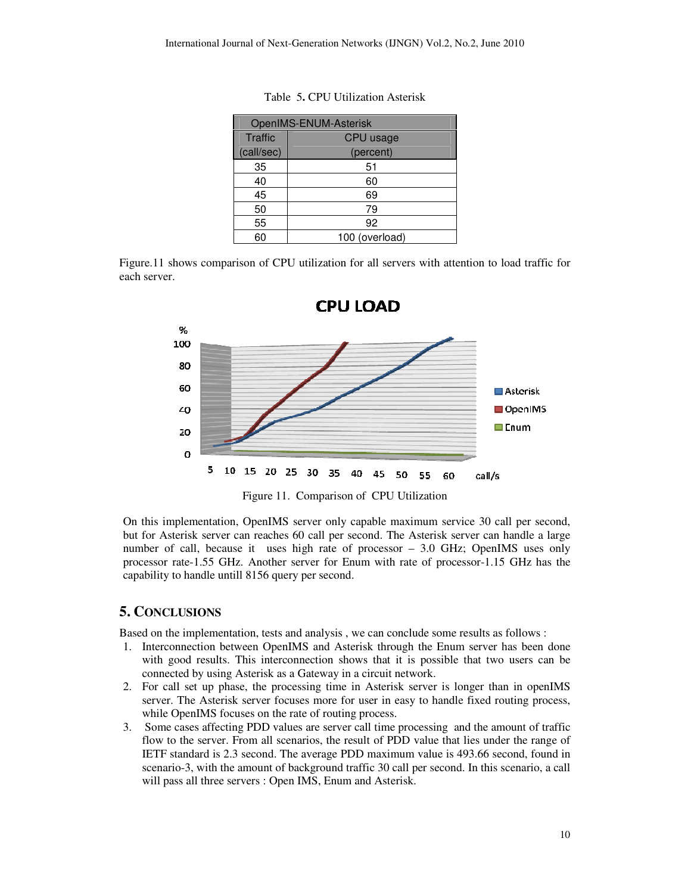| OpenIMS-ENUM-Asterisk |                |  |
|-----------------------|----------------|--|
| <b>Traffic</b>        | CPU usage      |  |
| (call/sec)            | (percent)      |  |
| 35                    | 51             |  |
| 40                    | 60             |  |
| 45                    | 69             |  |
| 50                    | 79             |  |
| 55                    | 92             |  |
| 60                    | 100 (overload) |  |

Table 5**.** CPU Utilization Asterisk

Figure.11 shows comparison of CPU utilization for all servers with attention to load traffic for each server.



Figure 11.Comparison of CPU Utilization

On this implementation, OpenIMS server only capable maximum service 30 call per second, but for Asterisk server can reaches 60 call per second. The Asterisk server can handle a large number of call, because it uses high rate of processor – 3.0 GHz; OpenIMS uses only processor rate-1.55 GHz. Another server for Enum with rate of processor-1.15 GHz has the capability to handle untill 8156 query per second.

## **5. CONCLUSIONS**

Based on the implementation, tests and analysis , we can conclude some results as follows :

- 1. Interconnection between OpenIMS and Asterisk through the Enum server has been done with good results. This interconnection shows that it is possible that two users can be connected by using Asterisk as a Gateway in a circuit network.
- 2. For call set up phase, the processing time in Asterisk server is longer than in openIMS server. The Asterisk server focuses more for user in easy to handle fixed routing process, while OpenIMS focuses on the rate of routing process.
- 3. Some cases affecting PDD values are server call time processing and the amount of traffic flow to the server. From all scenarios, the result of PDD value that lies under the range of IETF standard is 2.3 second. The average PDD maximum value is 493.66 second, found in scenario-3, with the amount of background traffic 30 call per second. In this scenario, a call will pass all three servers : Open IMS, Enum and Asterisk.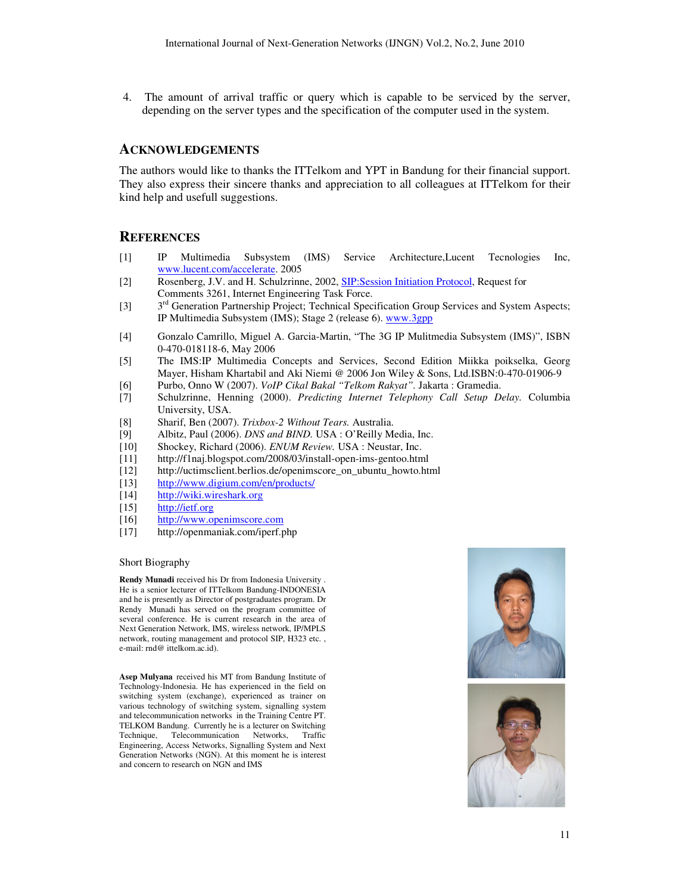4. The amount of arrival traffic or query which is capable to be serviced by the server, depending on the server types and the specification of the computer used in the system.

#### **ACKNOWLEDGEMENTS**

The authors would like to thanks the ITTelkom and YPT in Bandung for their financial support. They also express their sincere thanks and appreciation to all colleagues at ITTelkom for their kind help and usefull suggestions.

#### **REFERENCES**

- [1] IP Multimedia Subsystem (IMS) Service Architecture,Lucent Tecnologies Inc, www.lucent.com/accelerate. 2005
- [2] Rosenberg, J.V. and H. Schulzrinne, 2002, SIP:Session Initiation Protocol, Request for Comments 3261, Internet Engineering Task Force.
- [3]  $3<sup>rd</sup> Generation Partnership Project; Technical Specification Group Services and System Aspects;$ IP Multimedia Subsystem (IMS); Stage 2 (release 6). www.3gpp
- [4] Gonzalo Camrillo, Miguel A. Garcia-Martin, "The 3G IP Mulitmedia Subsystem (IMS)", ISBN 0-470-018118-6, May 2006
- [5] The IMS:IP Multimedia Concepts and Services, Second Edition Miikka poikselka, Georg Mayer, Hisham Khartabil and Aki Niemi @ 2006 Jon Wiley & Sons, Ltd.ISBN:0-470-01906-9
- [6] Purbo, Onno W (2007). *VoIP Cikal Bakal "Telkom Rakyat".* Jakarta : Gramedia.
- [7] Schulzrinne, Henning (2000). *Predicting Internet Telephony Call Setup Delay.* Columbia University, USA.
- [8] Sharif, Ben (2007). *Trixbox-2 Without Tears.* Australia.
- Albitz, Paul (2006). *DNS and BIND*. USA : O'Reilly Media, Inc.
- [10] Shockey, Richard (2006). *ENUM Review.* USA : Neustar, Inc.
- [11] http://f1naj.blogspot.com/2008/03/install-open-ims-gentoo.html
- [12] http://uctimsclient.berlios.de/openimscore\_on\_ubuntu\_howto.html
- [13] http://www.digium.com/en/products/
- [14] http://wiki.wireshark.org
- [15] http://ietf.org
- [16] http://www.openimscore.com
- [17] http://openmaniak.com/iperf.php

#### Short Biography

**Rendy Munadi** received his Dr from Indonesia University . He is a senior lecturer of ITTelkom Bandung-INDONESIA and he is presently as Director of postgraduates program. Dr Rendy Munadi has served on the program committee of several conference. He is current research in the area of Next Generation Network, IMS, wireless network, IP/MPLS network, routing management and protocol SIP, H323 etc. , e-mail: rnd@ ittelkom.ac.id).

**Asep Mulyana** received his MT from Bandung Institute of Technology-Indonesia. He has experienced in the field on switching system (exchange), experienced as trainer on various technology of switching system, signalling system and telecommunication networks in the Training Centre PT. TELKOM Bandung. Currently he is a lecturer on Switching Technique, Telecommunication Networks, Traffic Engineering, Access Networks, Signalling System and Next Generation Networks (NGN). At this moment he is interest and concern to research on NGN and IMS